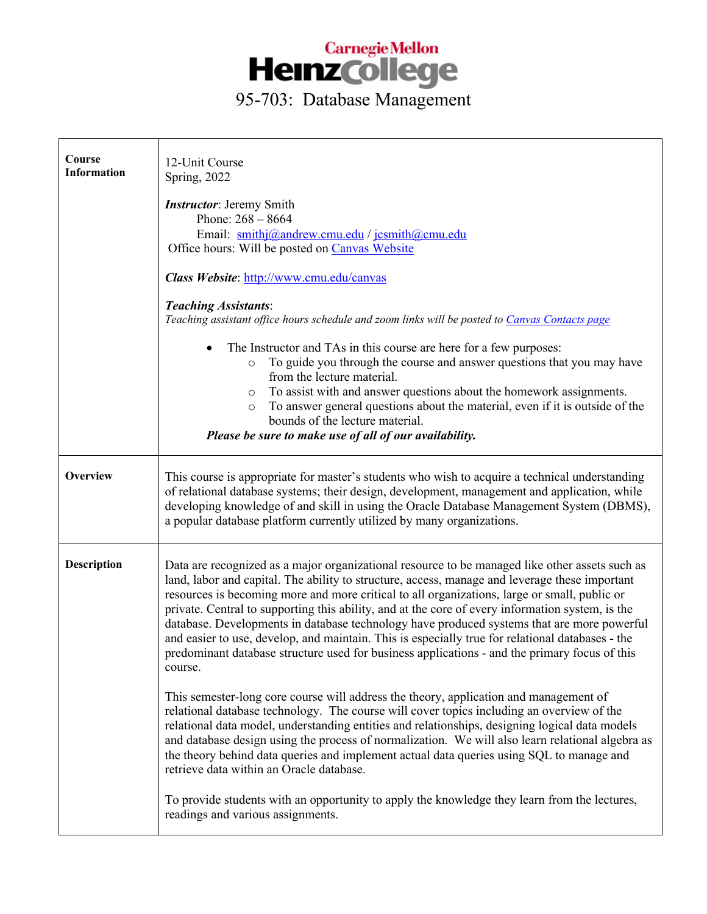

| Course<br><b>Information</b> | 12-Unit Course<br>Spring, 2022                                                                                                                                                                                                                                                                                                                                                                                                                                                                                                                                                                                                                                                                                     |
|------------------------------|--------------------------------------------------------------------------------------------------------------------------------------------------------------------------------------------------------------------------------------------------------------------------------------------------------------------------------------------------------------------------------------------------------------------------------------------------------------------------------------------------------------------------------------------------------------------------------------------------------------------------------------------------------------------------------------------------------------------|
|                              | <b>Instructor:</b> Jeremy Smith<br>Phone: $268 - 8664$<br>Email: smithj@andrew.cmu.edu / jcsmith@cmu.edu<br>Office hours: Will be posted on Canvas Website                                                                                                                                                                                                                                                                                                                                                                                                                                                                                                                                                         |
|                              | Class Website: http://www.cmu.edu/canvas                                                                                                                                                                                                                                                                                                                                                                                                                                                                                                                                                                                                                                                                           |
|                              | <b>Teaching Assistants:</b><br>Teaching assistant office hours schedule and zoom links will be posted to Canvas Contacts page                                                                                                                                                                                                                                                                                                                                                                                                                                                                                                                                                                                      |
|                              | The Instructor and TAs in this course are here for a few purposes:<br>To guide you through the course and answer questions that you may have<br>$\circ$<br>from the lecture material.<br>To assist with and answer questions about the homework assignments.<br>$\circ$<br>To answer general questions about the material, even if it is outside of the<br>$\circ$<br>bounds of the lecture material.<br>Please be sure to make use of all of our availability.                                                                                                                                                                                                                                                    |
| <b>Overview</b>              | This course is appropriate for master's students who wish to acquire a technical understanding<br>of relational database systems; their design, development, management and application, while<br>developing knowledge of and skill in using the Oracle Database Management System (DBMS),<br>a popular database platform currently utilized by many organizations.                                                                                                                                                                                                                                                                                                                                                |
| <b>Description</b>           | Data are recognized as a major organizational resource to be managed like other assets such as<br>land, labor and capital. The ability to structure, access, manage and leverage these important<br>resources is becoming more and more critical to all organizations, large or small, public or<br>private. Central to supporting this ability, and at the core of every information system, is the<br>database. Developments in database technology have produced systems that are more powerful<br>and easier to use, develop, and maintain. This is especially true for relational databases - the<br>predominant database structure used for business applications - and the primary focus of this<br>course. |
|                              | This semester-long core course will address the theory, application and management of<br>relational database technology. The course will cover topics including an overview of the<br>relational data model, understanding entities and relationships, designing logical data models<br>and database design using the process of normalization. We will also learn relational algebra as<br>the theory behind data queries and implement actual data queries using SQL to manage and<br>retrieve data within an Oracle database.                                                                                                                                                                                   |
|                              | To provide students with an opportunity to apply the knowledge they learn from the lectures,<br>readings and various assignments.                                                                                                                                                                                                                                                                                                                                                                                                                                                                                                                                                                                  |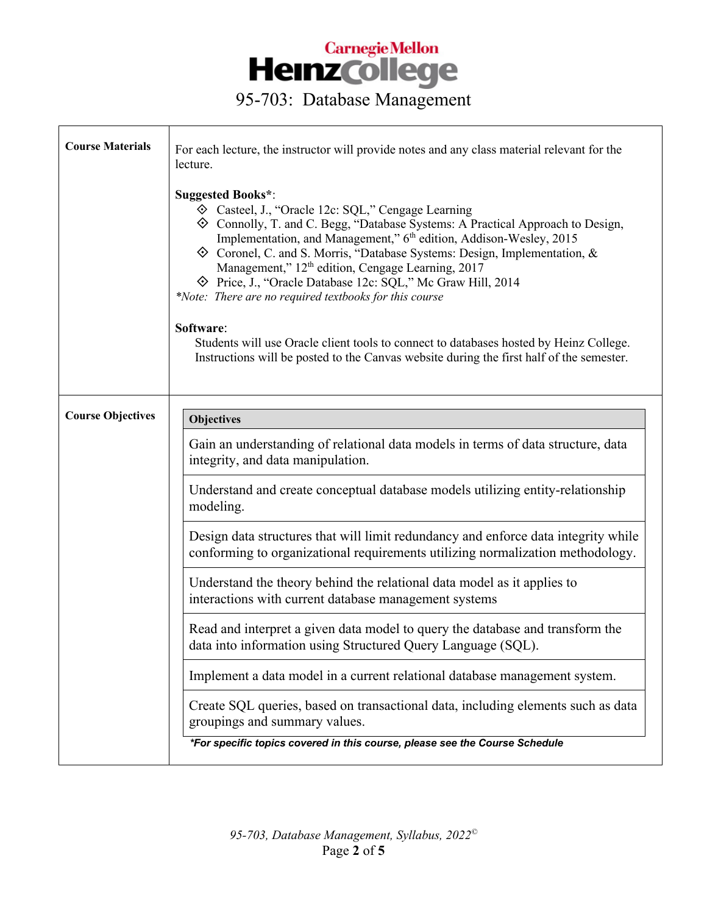| <b>Course Materials</b>  | For each lecture, the instructor will provide notes and any class material relevant for the<br>lecture.<br><b>Suggested Books*:</b><br>♦ Casteel, J., "Oracle 12c: SQL," Cengage Learning<br>♦ Connolly, T. and C. Begg, "Database Systems: A Practical Approach to Design,<br>Implementation, and Management," 6 <sup>th</sup> edition, Addison-Wesley, 2015<br>$\diamondsuit$ Coronel, C. and S. Morris, "Database Systems: Design, Implementation, &<br>Management," 12 <sup>th</sup> edition, Cengage Learning, 2017<br>◆ Price, J., "Oracle Database 12c: SQL," Mc Graw Hill, 2014<br>*Note: There are no required textbooks for this course<br>Software:<br>Students will use Oracle client tools to connect to databases hosted by Heinz College.<br>Instructions will be posted to the Canvas website during the first half of the semester.                                                                                                                                     |
|--------------------------|------------------------------------------------------------------------------------------------------------------------------------------------------------------------------------------------------------------------------------------------------------------------------------------------------------------------------------------------------------------------------------------------------------------------------------------------------------------------------------------------------------------------------------------------------------------------------------------------------------------------------------------------------------------------------------------------------------------------------------------------------------------------------------------------------------------------------------------------------------------------------------------------------------------------------------------------------------------------------------------|
| <b>Course Objectives</b> | <b>Objectives</b><br>Gain an understanding of relational data models in terms of data structure, data<br>integrity, and data manipulation.<br>Understand and create conceptual database models utilizing entity-relationship<br>modeling.<br>Design data structures that will limit redundancy and enforce data integrity while<br>conforming to organizational requirements utilizing normalization methodology.<br>Understand the theory behind the relational data model as it applies to<br>interactions with current database management systems<br>Read and interpret a given data model to query the database and transform the<br>data into information using Structured Query Language (SQL).<br>Implement a data model in a current relational database management system.<br>Create SQL queries, based on transactional data, including elements such as data<br>groupings and summary values.<br>*For specific topics covered in this course, please see the Course Schedule |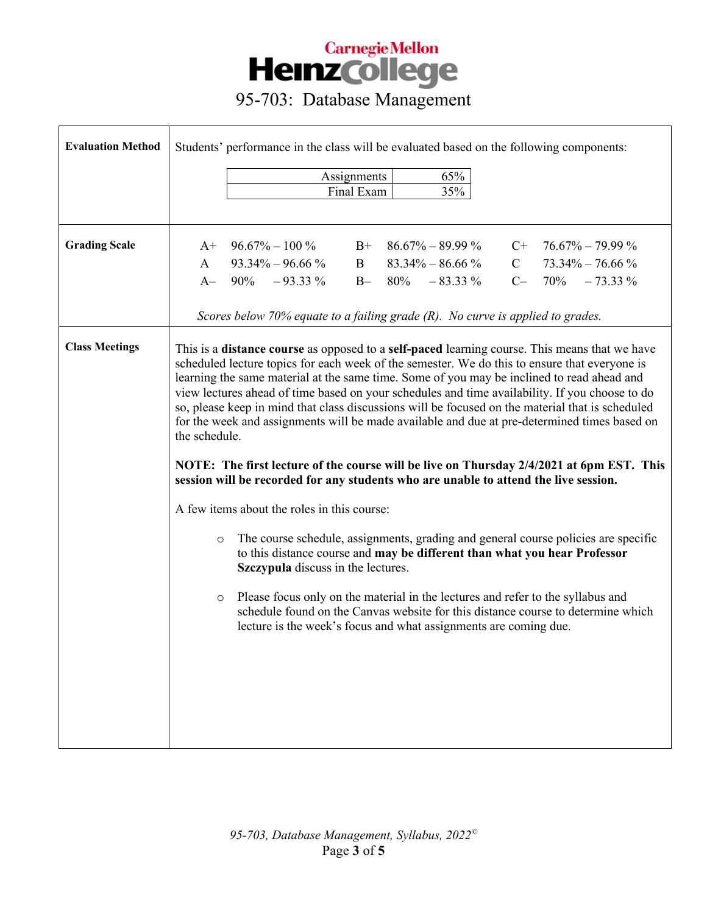| <b>Evaluation Method</b> | Students' performance in the class will be evaluated based on the following components:                                                                                                                                                                                                                                                                                                                                                                                                                                                                                                                                                                                                                                                                                                                                                                                                                                                                                                                                                                                                                                                                                                                                                                                                                                          |
|--------------------------|----------------------------------------------------------------------------------------------------------------------------------------------------------------------------------------------------------------------------------------------------------------------------------------------------------------------------------------------------------------------------------------------------------------------------------------------------------------------------------------------------------------------------------------------------------------------------------------------------------------------------------------------------------------------------------------------------------------------------------------------------------------------------------------------------------------------------------------------------------------------------------------------------------------------------------------------------------------------------------------------------------------------------------------------------------------------------------------------------------------------------------------------------------------------------------------------------------------------------------------------------------------------------------------------------------------------------------|
|                          | 65%<br>Assignments<br>35%<br>Final Exam                                                                                                                                                                                                                                                                                                                                                                                                                                                                                                                                                                                                                                                                                                                                                                                                                                                                                                                                                                                                                                                                                                                                                                                                                                                                                          |
|                          |                                                                                                                                                                                                                                                                                                                                                                                                                                                                                                                                                                                                                                                                                                                                                                                                                                                                                                                                                                                                                                                                                                                                                                                                                                                                                                                                  |
| <b>Grading Scale</b>     | $96.67\% - 100\%$<br>$B+86.67\% - 89.99\%$<br>$C+ 76.67\% - 79.99\%$<br>$A^+$<br>$83.34\% - 86.66\%$<br>$93.34\% - 96.66\%$ B<br>C $73.34\% - 76.66\%$<br>$\mathbf{A}$                                                                                                                                                                                                                                                                                                                                                                                                                                                                                                                                                                                                                                                                                                                                                                                                                                                                                                                                                                                                                                                                                                                                                           |
|                          | A $-90\% -93.33\% -$ B $-80\% -83.33\%$<br>$C- 70\% - 73.33\%$                                                                                                                                                                                                                                                                                                                                                                                                                                                                                                                                                                                                                                                                                                                                                                                                                                                                                                                                                                                                                                                                                                                                                                                                                                                                   |
|                          | Scores below 70% equate to a failing grade (R). No curve is applied to grades.                                                                                                                                                                                                                                                                                                                                                                                                                                                                                                                                                                                                                                                                                                                                                                                                                                                                                                                                                                                                                                                                                                                                                                                                                                                   |
| <b>Class Meetings</b>    | This is a distance course as opposed to a self-paced learning course. This means that we have<br>scheduled lecture topics for each week of the semester. We do this to ensure that everyone is<br>learning the same material at the same time. Some of you may be inclined to read ahead and<br>view lectures ahead of time based on your schedules and time availability. If you choose to do<br>so, please keep in mind that class discussions will be focused on the material that is scheduled<br>for the week and assignments will be made available and due at pre-determined times based on<br>the schedule.<br>NOTE: The first lecture of the course will be live on Thursday 2/4/2021 at 6pm EST. This<br>session will be recorded for any students who are unable to attend the live session.<br>A few items about the roles in this course:<br>The course schedule, assignments, grading and general course policies are specific<br>$\circ$<br>to this distance course and may be different than what you hear Professor<br>Szczypula discuss in the lectures.<br>Please focus only on the material in the lectures and refer to the syllabus and<br>$\circ$<br>schedule found on the Canvas website for this distance course to determine which<br>lecture is the week's focus and what assignments are coming due. |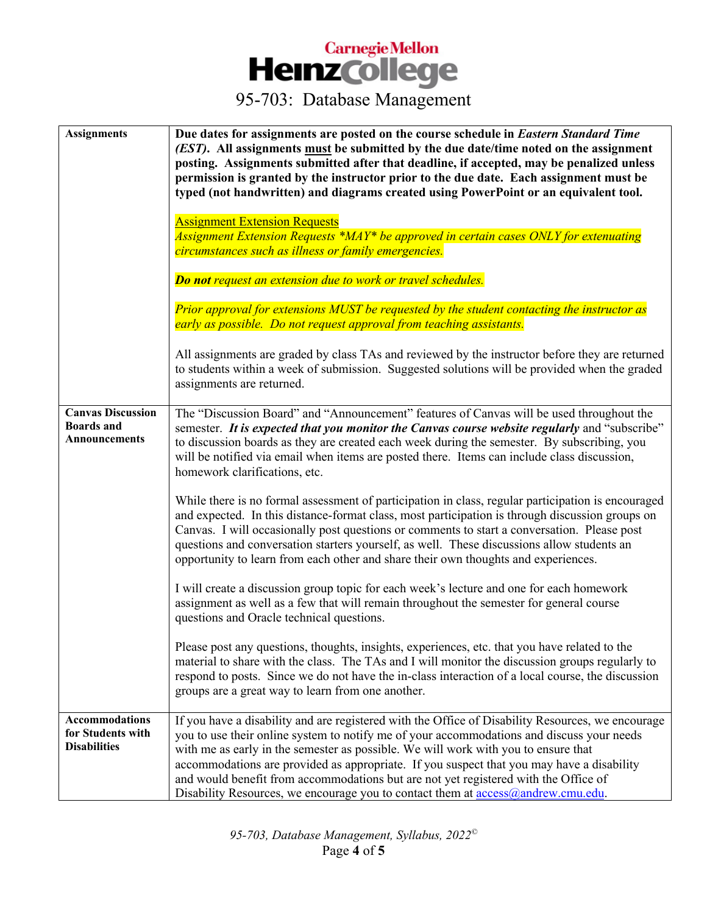| <b>Assignments</b>                                                | Due dates for assignments are posted on the course schedule in Eastern Standard Time<br>(EST). All assignments must be submitted by the due date/time noted on the assignment<br>posting. Assignments submitted after that deadline, if accepted, may be penalized unless<br>permission is granted by the instructor prior to the due date. Each assignment must be<br>typed (not handwritten) and diagrams created using PowerPoint or an equivalent tool.<br><b>Assignment Extension Requests</b><br>Assignment Extension Requests *MAY* be approved in certain cases ONLY for extenuating<br>circumstances such as illness or family emergencies. |
|-------------------------------------------------------------------|------------------------------------------------------------------------------------------------------------------------------------------------------------------------------------------------------------------------------------------------------------------------------------------------------------------------------------------------------------------------------------------------------------------------------------------------------------------------------------------------------------------------------------------------------------------------------------------------------------------------------------------------------|
|                                                                   | <b>Do not request an extension due to work or travel schedules.</b>                                                                                                                                                                                                                                                                                                                                                                                                                                                                                                                                                                                  |
|                                                                   | Prior approval for extensions MUST be requested by the student contacting the instructor as<br>early as possible. Do not request approval from teaching assistants.                                                                                                                                                                                                                                                                                                                                                                                                                                                                                  |
|                                                                   | All assignments are graded by class TAs and reviewed by the instructor before they are returned<br>to students within a week of submission. Suggested solutions will be provided when the graded<br>assignments are returned.                                                                                                                                                                                                                                                                                                                                                                                                                        |
| <b>Canvas Discussion</b><br><b>Boards</b> and<br>Announcements    | The "Discussion Board" and "Announcement" features of Canvas will be used throughout the<br>semester. It is expected that you monitor the Canvas course website regularly and "subscribe"<br>to discussion boards as they are created each week during the semester. By subscribing, you<br>will be notified via email when items are posted there. Items can include class discussion,<br>homework clarifications, etc.                                                                                                                                                                                                                             |
|                                                                   | While there is no formal assessment of participation in class, regular participation is encouraged<br>and expected. In this distance-format class, most participation is through discussion groups on<br>Canvas. I will occasionally post questions or comments to start a conversation. Please post<br>questions and conversation starters yourself, as well. These discussions allow students an<br>opportunity to learn from each other and share their own thoughts and experiences.                                                                                                                                                             |
|                                                                   | I will create a discussion group topic for each week's lecture and one for each homework<br>assignment as well as a few that will remain throughout the semester for general course<br>questions and Oracle technical questions.                                                                                                                                                                                                                                                                                                                                                                                                                     |
|                                                                   | Please post any questions, thoughts, insights, experiences, etc. that you have related to the<br>material to share with the class. The TAs and I will monitor the discussion groups regularly to<br>respond to posts. Since we do not have the in-class interaction of a local course, the discussion<br>groups are a great way to learn from one another.                                                                                                                                                                                                                                                                                           |
| <b>Accommodations</b><br>for Students with<br><b>Disabilities</b> | If you have a disability and are registered with the Office of Disability Resources, we encourage<br>you to use their online system to notify me of your accommodations and discuss your needs<br>with me as early in the semester as possible. We will work with you to ensure that<br>accommodations are provided as appropriate. If you suspect that you may have a disability<br>and would benefit from accommodations but are not yet registered with the Office of<br>Disability Resources, we encourage you to contact them at access@andrew.cmu.edu.                                                                                         |

*95-703, Database Management, Syllabus, 2022©* Page **4** of **5**